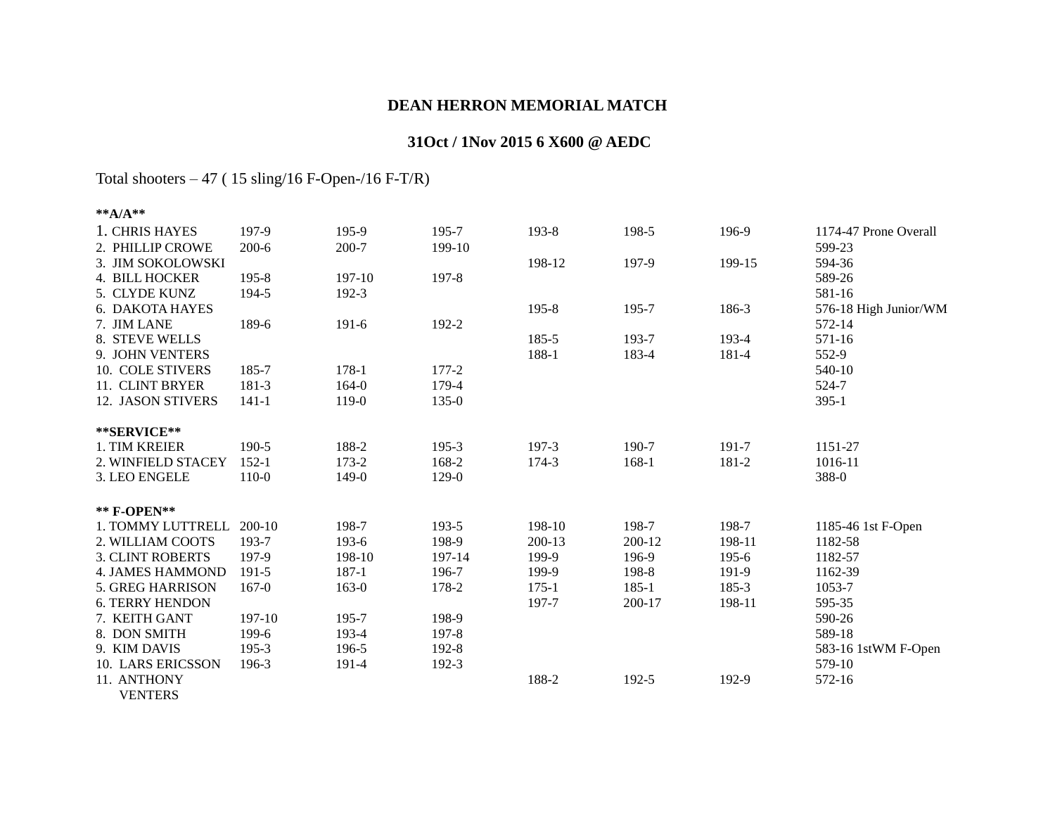## **DEAN HERRON MEMORIAL MATCH**

## **31Oct / 1Nov 2015 6 X600 @ AEDC**

Total shooters – 47 ( 15 sling/16 F-Open-/16 F-T/R)

| ** $A/A$ **             |            |           |           |           |         |           |                       |
|-------------------------|------------|-----------|-----------|-----------|---------|-----------|-----------------------|
| 1. CHRIS HAYES          | 197-9      | 195-9     | 195-7     | 193-8     | 198-5   | 196-9     | 1174-47 Prone Overall |
| 2. PHILLIP CROWE        | $200 - 6$  | $200 - 7$ | 199-10    |           |         |           | 599-23                |
| 3. JIM SOKOLOWSKI       |            |           |           | 198-12    | 197-9   | 199-15    | 594-36                |
| 4. BILL HOCKER          | 195-8      | 197-10    | 197-8     |           |         |           | 589-26                |
| 5. CLYDE KUNZ           | 194-5      | 192-3     |           |           |         |           | 581-16                |
| 6. DAKOTA HAYES         |            |           |           | $195 - 8$ | 195-7   | 186-3     | 576-18 High Junior/WM |
| 7. JIM LANE             | 189-6      | $191 - 6$ | 192-2     |           |         |           | 572-14                |
| 8. STEVE WELLS          |            |           |           | 185-5     | 193-7   | 193-4     | 571-16                |
| 9. JOHN VENTERS         |            |           |           | 188-1     | 183-4   | 181-4     | 552-9                 |
| 10. COLE STIVERS        | 185-7      | $178-1$   | $177 - 2$ |           |         |           | 540-10                |
| 11. CLINT BRYER         | 181-3      | $164 - 0$ | 179-4     |           |         |           | 524-7                 |
| 12. JASON STIVERS       | $141 - 1$  | 119-0     | $135 - 0$ |           |         |           | $395-1$               |
| **SERVICE**             |            |           |           |           |         |           |                       |
| 1. TIM KREIER           | 190-5      | 188-2     | $195-3$   | 197-3     | 190-7   | 191-7     | 1151-27               |
| 2. WINFIELD STACEY      | $152 - 1$  | $173 - 2$ | 168-2     | 174-3     | 168-1   | 181-2     | 1016-11               |
| 3. LEO ENGELE           | $110 - 0$  | 149-0     | $129-0$   |           |         |           | 388-0                 |
| ** F-OPEN**             |            |           |           |           |         |           |                       |
| 1. TOMMY LUTTRELL       | $200 - 10$ | 198-7     | 193-5     | 198-10    | 198-7   | 198-7     | 1185-46 1st F-Open    |
| 2. WILLIAM COOTS        | 193-7      | $193-6$   | 198-9     | 200-13    | 200-12  | 198-11    | 1182-58               |
| <b>3. CLINT ROBERTS</b> | 197-9      | 198-10    | 197-14    | 199-9     | 196-9   | $195 - 6$ | 1182-57               |
| <b>4. JAMES HAMMOND</b> | 191-5      | $187 - 1$ | 196-7     | 199-9     | 198-8   | 191-9     | 1162-39               |
| 5. GREG HARRISON        | $167 - 0$  | $163 - 0$ | 178-2     | $175-1$   | $185-1$ | 185-3     | 1053-7                |
| <b>6. TERRY HENDON</b>  |            |           |           | 197-7     | 200-17  | 198-11    | 595-35                |
| 7. KEITH GANT           | 197-10     | 195-7     | 198-9     |           |         |           | 590-26                |
| 8. DON SMITH            | 199-6      | 193-4     | 197-8     |           |         |           | 589-18                |
| 9. KIM DAVIS            | $195-3$    | 196-5     | 192-8     |           |         |           | 583-16 1stWM F-Open   |
| 10. LARS ERICSSON       | 196-3      | 191-4     | 192-3     |           |         |           | 579-10                |
| 11. ANTHONY             |            |           |           | 188-2     | 192-5   | 192-9     | 572-16                |
| <b>VENTERS</b>          |            |           |           |           |         |           |                       |